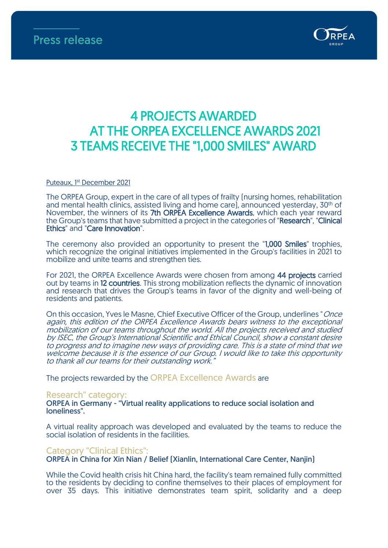

# 4 PROJECTS AWARDED AT THE ORPEA EXCELLENCE AWARDS 2021 3 TEAMS RECEIVE THE "1,000 SMILES" AWARD

#### <u>Puteaux, 1st December 2021</u>

The ORPEA Group, expert in the care of all types of frailty (nursing homes, rehabilitation and mental health clinics, assisted living and home care), announced yesterday, 30th of November, the winners of its 7th ORPEA Excellence Awards, which each year reward the Group's teams that have submitted a project in the categories of "Research", "Clinical Ethics" and "Care Innovation".

The ceremony also provided an opportunity to present the "1,000 Smiles" trophies, which recognize the original initiatives implemented in the Group's facilities in 2021 to mobilize and unite teams and strengthen ties.

For 2021, the ORPEA Excellence Awards were chosen from among 44 projects carried out by teams in 12 countries. This strong mobilization reflects the dynamic of innovation and research that drives the Group's teams in favor of the dignity and well-being of residents and patients.

On this occasion, Yves le Masne, Chief Executive Officer of the Group, underlines "Once again, this edition of the ORPEA Excellence Awards bears witness to the exceptional mobilization of our teams throughout the world. All the projects received and studied by ISEC, the Group's International Scientific and Ethical Council, show a constant desire to progress and to imagine new ways of providing care. This is a state of mind that we welcome because it is the essence of our Group. I would like to take this opportunity to thank all our teams for their outstanding work.

The projects rewarded by the ORPEA Excellence Awards are

#### Research" category:

ORPEA in Germany - "Virtual reality applications to reduce social isolation and loneliness".

A virtual reality approach was developed and evaluated by the teams to reduce the social isolation of residents in the facilities.

#### Category "Clinical Ethics":

ORPEA in China for Xin Nian / Belief (Xianlin, International Care Center, Nanjin)

While the Covid health crisis hit China hard, the facility's team remained fully committed to the residents by deciding to confine themselves to their places of employment for over 35 days. This initiative demonstrates team spirit, solidarity and a deep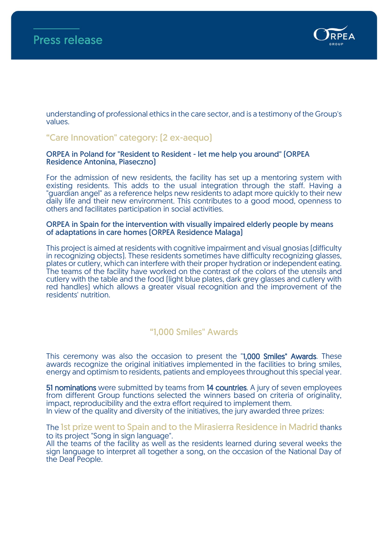

understanding of professional ethics in the care sector, and is a testimony of the Group's values.

## "Care Innovation" category: (2 ex-aequo)

#### ORPEA in Poland for "Resident to Resident - let me help you around" (ORPEA Residence Antonina, Piaseczno)

For the admission of new residents, the facility has set up a mentoring system with existing residents. This adds to the usual integration through the staff. Having a "guardian angel" as a reference helps new residents to adapt more quickly to their new daily life and their new environment. This contributes to a good mood, openness to others and facilitates participation in social activities.

#### ORPEA in Spain for the intervention with visually impaired elderly people by means of adaptations in care homes (ORPEA Residence Malaga)

This project is aimed at residents with cognitive impairment and visual gnosias (difficulty in recognizing objects). These residents sometimes have difficulty recognizing glasses, plates or cutlery, which can interfere with their proper hydration or independent eating. The teams of the facility have worked on the contrast of the colors of the utensils and cutlery with the table and the food (light blue plates, dark grey glasses and cutlery with red handles) which allows a greater visual recognition and the improvement of the residents' nutrition.

## "1,000 Smiles" Awards

This ceremony was also the occasion to present the "1,000 Smiles" Awards. These awards recognize the original initiatives implemented in the facilities to bring smiles, energy and optimism to residents, patients and employees throughout this special year.

51 nominations were submitted by teams from 14 countries. A jury of seven employees from different Group functions selected the winners based on criteria of originality, impact, reproducibility and the extra effort required to implement them. In view of the quality and diversity of the initiatives, the jury awarded three prizes:

The 1st prize went to Spain and to the Mirasierra Residence in Madrid thanks to its project "Song in sign language".

All the teams of the facility as well as the residents learned during several weeks the sign language to interpret all together a song, on the occasion of the National Day of the Deaf People.